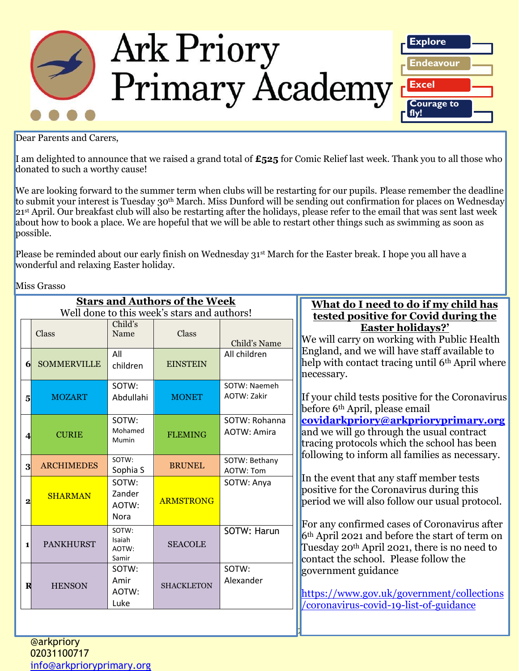

Dear Parents and Carers,

I am delighted to announce that we raised a grand total of **£525** for Comic Relief last week. Thank you to all those who donated to such a worthy cause!

We are looking forward to the summer term when clubs will be restarting for our pupils. Please remember the deadline to submit your interest is Tuesday 30<sup>th</sup> March. Miss Dunford will be sending out confirmation for places on Wednesday 21<sup>st</sup> April. Our breakfast club will also be restarting after the holidays, please refer to the email that was sent last week about how to book a place. We are hopeful that we will be able to restart other things such as swimming as soon as possible.

Please be reminded about our early finish on Wednesday 31<sup>st</sup> March for the Easter break. I hope you all have a wonderful and relaxing Easter holiday.

Miss Grasso

| <b>Stars and Authors of the Week</b> |                                             |                                         |                   | What do I need to do if my child has |                                                                                                                                                                                                                                                                                                                                                                                                                                                                         |
|--------------------------------------|---------------------------------------------|-----------------------------------------|-------------------|--------------------------------------|-------------------------------------------------------------------------------------------------------------------------------------------------------------------------------------------------------------------------------------------------------------------------------------------------------------------------------------------------------------------------------------------------------------------------------------------------------------------------|
|                                      | Well done to this week's stars and authors! |                                         |                   |                                      | tested positive for Covid during the                                                                                                                                                                                                                                                                                                                                                                                                                                    |
|                                      | Class                                       | Child's<br>Name                         | Class             | Child's Name                         | <b>Easter holidays?'</b><br>We will carry on working with Public Health                                                                                                                                                                                                                                                                                                                                                                                                 |
| 6                                    | <b>SOMMERVILLE</b>                          | All<br>children                         | <b>EINSTEIN</b>   | All children                         | England, and we will have staff available to<br>help with contact tracing until 6 <sup>th</sup> April where<br>necessary.                                                                                                                                                                                                                                                                                                                                               |
| 5 <sub>l</sub>                       | <b>MOZART</b>                               | SOTW:<br>Abdullahi                      | <b>MONET</b>      | SOTW: Naemeh<br>AOTW: Zakir          | If your child tests positive for the Coronavirus<br>before 6 <sup>th</sup> April, please email                                                                                                                                                                                                                                                                                                                                                                          |
| 4                                    | <b>CURIE</b>                                | SOTW:<br>Mohamed<br>Mumin               | <b>FLEMING</b>    | SOTW: Rohanna<br><b>AOTW: Amira</b>  | covidarkpriory@arkprioryprimary.org<br>and we will go through the usual contract<br>tracing protocols which the school has been<br>following to inform all families as necessary.                                                                                                                                                                                                                                                                                       |
| $\mathbf{3}$                         | <b>ARCHIMEDES</b>                           | SOTW:<br>Sophia S                       | <b>BRUNEL</b>     | SOTW: Bethany<br>AOTW: Tom           |                                                                                                                                                                                                                                                                                                                                                                                                                                                                         |
| $\overline{2}$                       | <b>SHARMAN</b>                              | SOTW:<br>Zander<br>AOTW:<br><b>Nora</b> | <b>ARMSTRONG</b>  | SOTW: Anya                           | In the event that any staff member tests<br>positive for the Coronavirus during this<br>period we will also follow our usual protocol.<br>For any confirmed cases of Coronavirus after<br>6 <sup>th</sup> April 2021 and before the start of term on<br>Tuesday 20 <sup>th</sup> April 2021, there is no need to<br>contact the school. Please follow the<br>government guidance<br>https://www.gov.uk/government/collections<br>/coronavirus-covid-19-list-of-guidance |
| $\mathbf{1}$                         | <b>PANKHURST</b>                            | SOTW:<br>Isaiah<br>AOTW:<br>Samir       | <b>SEACOLE</b>    | SOTW: Harun                          |                                                                                                                                                                                                                                                                                                                                                                                                                                                                         |
| R                                    | <b>HENSON</b>                               | SOTW:<br>Amir<br>AOTW:<br>Luke          | <b>SHACKLETON</b> | SOTW:<br>Alexander                   |                                                                                                                                                                                                                                                                                                                                                                                                                                                                         |
|                                      |                                             |                                         |                   |                                      |                                                                                                                                                                                                                                                                                                                                                                                                                                                                         |

*Ark Priory Primary Academy is committed to safeguarding and equality*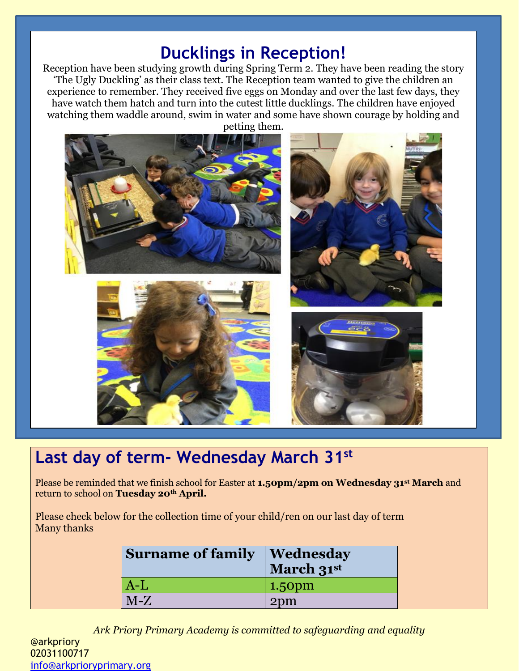## **Ducklings in Reception!**

Reception have been studying growth during Spring Term 2. They have been reading the story 'The Ugly Duckling' as their class text. The Reception team wanted to give the children an experience to remember. They received five eggs on Monday and over the last few days, they have watch them hatch and turn into the cutest little ducklings. The children have enjoyed watching them waddle around, swim in water and some have shown courage by holding and



# **Last day of term- Wednesday March 31st**

Please be reminded that we finish school for Easter at **1.50pm/2pm on Wednesday 31st March** and return to school on **Tuesday 20th April.**

Please check below for the collection time of your child/ren on our last day of term Many thanks

| <b>Surname of family</b> | <b>Wednesday</b><br>March 31st |  |
|--------------------------|--------------------------------|--|
| $A-L$                    | $1.50pm$                       |  |
| $M-Z$                    | 2 <sub>pm</sub>                |  |

*Ark Priory Primary Academy is committed to safeguarding and equality*  @arkpriory 02031100717 [info@arkprioryprimary.org](mailto:info@arkprioryprimary.org)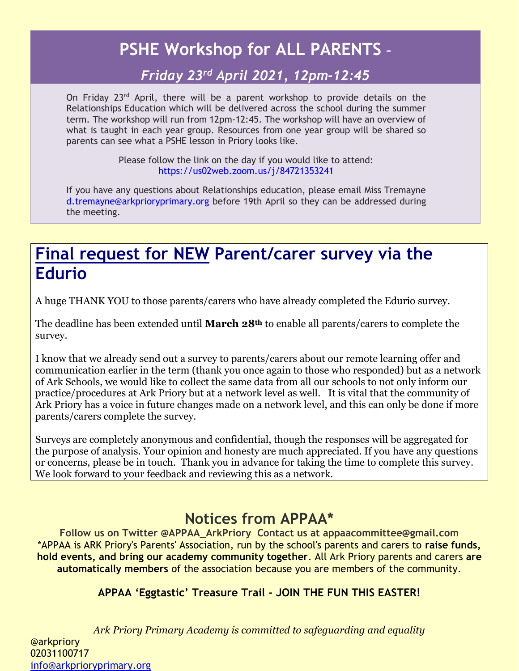## **PSHE Workshop for ALL PARENTS –**

### *Friday 23rd April 2021, 12pm-12:45*

On Friday 23<sup>rd</sup> April, there will be a parent workshop to provide details on the Relationships Education which will be delivered across the school during the summer term. The workshop will run from 12pm-12:45. The workshop will have an overview of what is taught in each year group. Resources from one year group will be shared so parents can see what a PSHE lesson in Priory looks like.

> Please follow the link on the day if you would like to attend: <https://us02web.zoom.us/j/84721353241>

If you have any questions about Relationships education, please email Miss Tremayne [d.tremayne@arkprioryprimary.org](mailto:d.tremayne@arkprioryprimary.org) before 19th April so they can be addressed during the meeting.

## **Final request for NEW Parent/carer survey via the Edurio**

A huge THANK YOU to those parents/carers who have already completed the Edurio survey.

The deadline has been extended until **March 28th** to enable all parents/carers to complete the survey.

I know that we already send out a survey to parents/carers about our remote learning offer and communication earlier in the term (thank you once again to those who responded) but as a network of Ark Schools, we would like to collect the same data from all our schools to not only inform our practice/procedures at Ark Priory but at a network level as well. It is vital that the community of Ark Priory has a voice in future changes made on a network level, and this can only be done if more parents/carers complete the survey.

Surveys are completely anonymous and confidential, though the responses will be aggregated for the purpose of analysis. Your opinion and honesty are much appreciated. If you have any questions or concerns, please be in touch. Thank you in advance for taking the time to complete this survey. We look forward to your feedback and reviewing this as a network.

### **Notices from APPAA\***

**Follow us on Twitter @APPAA\_ArkPriory Contact us at appaacommittee@gmail.com** \*APPAA is ARK Priory's Parents' Association, run by the school's parents and carers to **raise funds, hold events, and bring our academy community together**. All Ark Priory parents and carers **are automatically members** of the association because you are members of the community.

### **APPAA 'Eggtastic' Treasure Trail - JOIN THE FUN THIS EASTER!**

*Ark Priory Primary Academy is committed to safeguarding and equality*  @arkpriory 02031100717 [info@arkprioryprimary.org](mailto:info@arkprioryprimary.org)